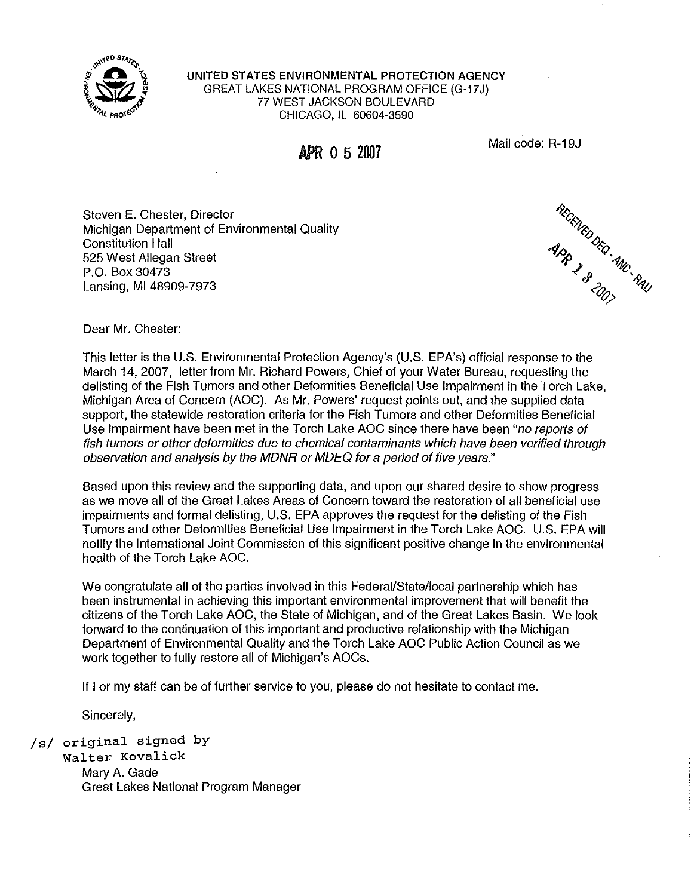

UNITED STATES ENVIRONMENTAL PROTECTION AGENCY GREAT LAKES NATIONAL PROGRAM OFFICE (G-17J) 77 WEST JACKSON BOULEVARD CHICAGO, IL 60604-3590

APR **o 5 201l7** 

Mail code: R-19J

Steven E. Chester, Director Michigan Department of Environmental Quality Constitution Hall 525 West Allegan Street P.O. Box 30473 Lansing, Ml 48909-7973

REGENTED DECIMINATION

Dear Mr. Chester:

This letter is the U.S. Environmental Protection Agency's (U.S. EPA's) official response to the March 14, 2007, letter from Mr. Richard Powers, Chief of your Water Bureau, requesting the delisting of the Fish Tumors and other Deformities Beneficial Use Impairment in the Torch Lake, Michigan Area of Concern (AOC). As Mr. Powers' request points out, and the supplied data support, the statewide restoration criteria for the Fish Tumors and other Deformities Beneficial Use Impairment have been met in the Torch Lake AOC since there have been "no reports of fish tumors or other deformities due to chemical contaminants which have been verified through observation and analysis by the MDNR or MDEQ for a period of five years."

Based upon this review and the supporting data, and upon our shared desire to show progress as we move all of the Great Lakes Areas of Concern toward the restoration of all beneficial use impairments and formal delisting, U.S. EPA approves the request for the delisting of the Fish Tumors and other Deformities Beneficial Use Impairment in the Torch Lake AOC. U.S. EPA will notify the International Joint Commission of this significant positive change in the environmental health of the Torch Lake AOC.

We congratulate all of the parties involved in this Federal/State/local partnership which has been instrumental in achieving this important environmental improvement that will benefit the citizens of the Torch Lake AOC, the State of Michigan, and of the Great Lakes Basin. We look forward to the continuation of this important and productive relationship with the Michigan Department of Environmental Quality and the Torch Lake AOC Public Action Council as we work together to fully restore all of Michigan's AOCs.

If I or my staff can be of further service to you, please do not hesitate to contact me.

Sincerely,

/s/ original signed by

Walter Kovalick Mary A. Gade Great Lakes National Program Manager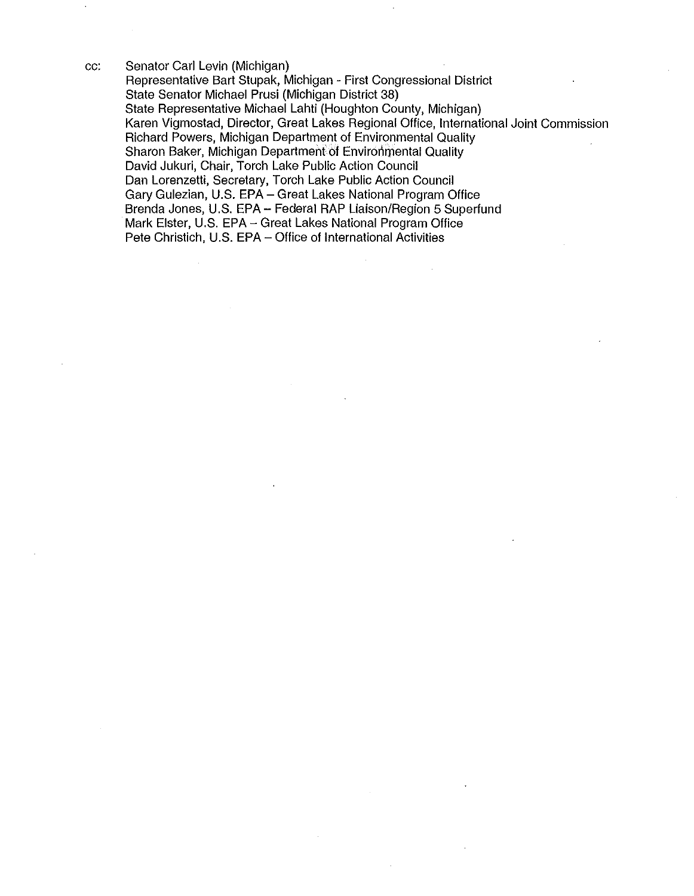cc: Senator Carl Levin (Michigan) Representative Bart Stupak, Michigan - First Congressional District State Senator Michael Prusi (Michigan District 38) State Representative Michael Lahti (Houghton County, Michigan) Karen Vigmostad, Director, Great Lakes Regional Office, International Joint Commission Richard Powers, Michigan Department of Environmental Quality Sharon Baker, Michigan Department of Environmental Quality David Jukuri, Chair, Torch Lake Public Action Council Dan Lorenzetti, Secretary, Torch Lake Public Action Council Gary Gulezian, U.S. EPA- Great Lakes National Program Office Brenda Jones, U.S. EPA- Federal RAP Liaison/Region 5 Superfund Mark Elster, U.S. EPA- Great Lakes National Program Office Pete Christich, U.S. EPA- Office of International Activities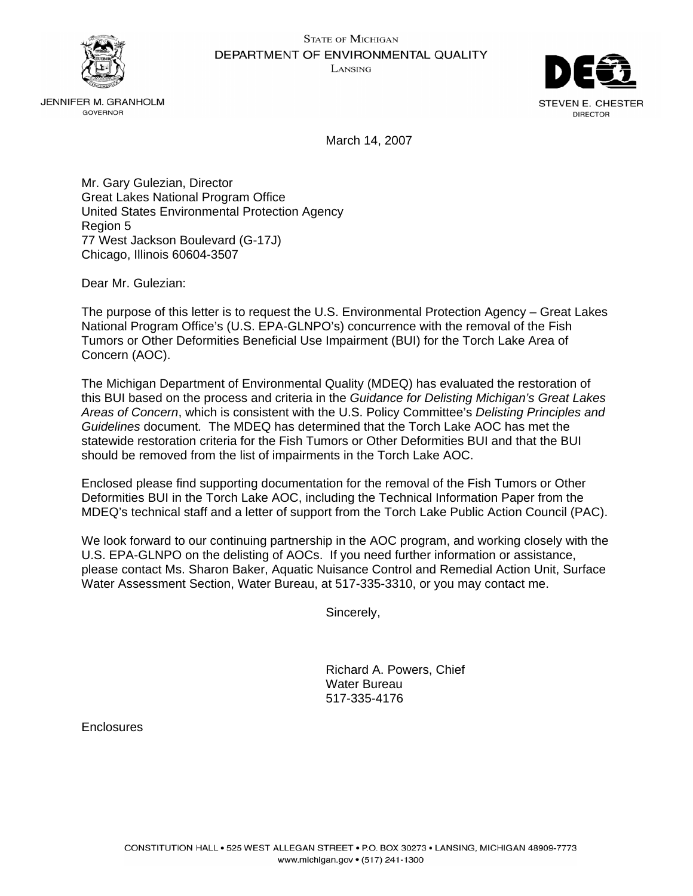



JENNIFER M. GRANHOLM GOVERNOR

March 14, 2007

Mr. Gary Gulezian, Director Great Lakes National Program Office United States Environmental Protection Agency Region 5 77 West Jackson Boulevard (G-17J) Chicago, Illinois 60604-3507

Dear Mr. Gulezian:

The purpose of this letter is to request the U.S. Environmental Protection Agency – Great Lakes National Program Office's (U.S. EPA-GLNPO's) concurrence with the removal of the Fish Tumors or Other Deformities Beneficial Use Impairment (BUI) for the Torch Lake Area of Concern (AOC).

The Michigan Department of Environmental Quality (MDEQ) has evaluated the restoration of this BUI based on the process and criteria in the *Guidance for Delisting Michigan's Great Lakes Areas of Concern*, which is consistent with the U.S. Policy Committee's *Delisting Principles and Guidelines* document*.* The MDEQ has determined that the Torch Lake AOC has met the statewide restoration criteria for the Fish Tumors or Other Deformities BUI and that the BUI should be removed from the list of impairments in the Torch Lake AOC.

Enclosed please find supporting documentation for the removal of the Fish Tumors or Other Deformities BUI in the Torch Lake AOC, including the Technical Information Paper from the MDEQ's technical staff and a letter of support from the Torch Lake Public Action Council (PAC).

We look forward to our continuing partnership in the AOC program, and working closely with the U.S. EPA-GLNPO on the delisting of AOCs. If you need further information or assistance, please contact Ms. Sharon Baker, Aquatic Nuisance Control and Remedial Action Unit, Surface Water Assessment Section, Water Bureau, at 517-335-3310, or you may contact me.

Sincerely,

Richard A. Powers, Chief Water Bureau 517-335-4176

Enclosures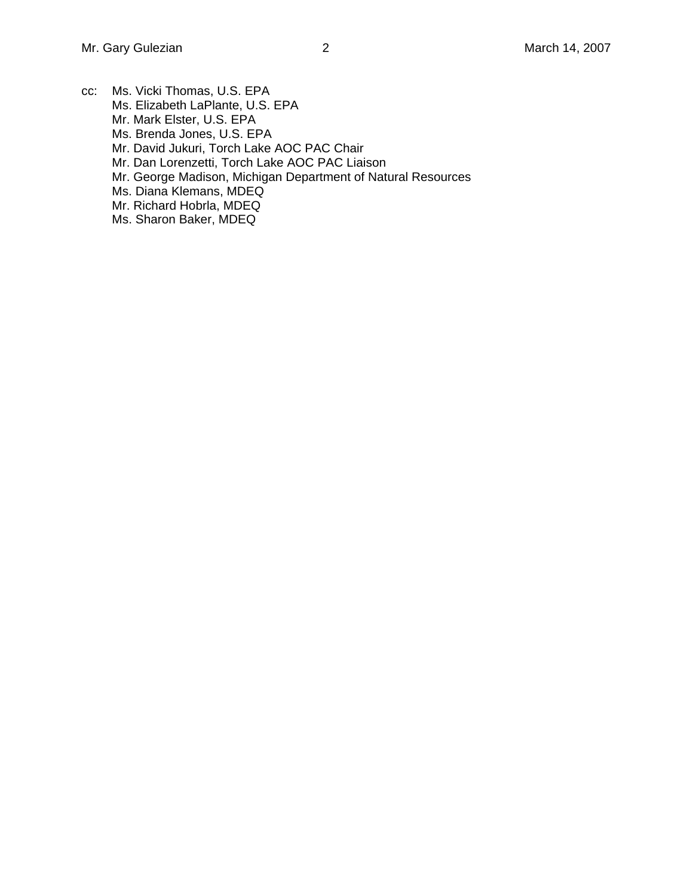- cc: Ms. Vicki Thomas, U.S. EPA Ms. Elizabeth LaPlante, U.S. EPA Mr. Mark Elster, U.S. EPA Ms. Brenda Jones, U.S. EPA Mr. David Jukuri, Torch Lake AOC PAC Chair Mr. Dan Lorenzetti, Torch Lake AOC PAC Liaison Mr. George Madison, Michigan Department of Natural Resources Ms. Diana Klemans, MDEQ Mr. Richard Hobrla, MDEQ
	- Ms. Sharon Baker, MDEQ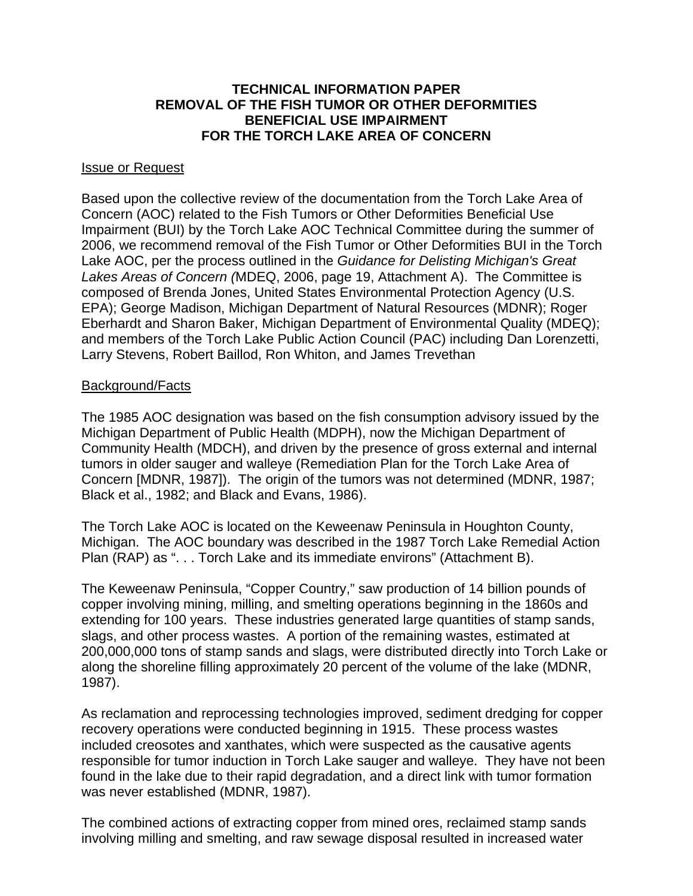# **TECHNICAL INFORMATION PAPER REMOVAL OF THE FISH TUMOR OR OTHER DEFORMITIES BENEFICIAL USE IMPAIRMENT FOR THE TORCH LAKE AREA OF CONCERN**

#### Issue or Request

Based upon the collective review of the documentation from the Torch Lake Area of Concern (AOC) related to the Fish Tumors or Other Deformities Beneficial Use Impairment (BUI) by the Torch Lake AOC Technical Committee during the summer of 2006, we recommend removal of the Fish Tumor or Other Deformities BUI in the Torch Lake AOC, per the process outlined in the *Guidance for Delisting Michigan's Great Lakes Areas of Concern (*MDEQ, 2006, page 19, Attachment A). The Committee is composed of Brenda Jones, United States Environmental Protection Agency (U.S. EPA); George Madison, Michigan Department of Natural Resources (MDNR); Roger Eberhardt and Sharon Baker, Michigan Department of Environmental Quality (MDEQ); and members of the Torch Lake Public Action Council (PAC) including Dan Lorenzetti, Larry Stevens, Robert Baillod, Ron Whiton, and James Trevethan

## Background/Facts

The 1985 AOC designation was based on the fish consumption advisory issued by the Michigan Department of Public Health (MDPH), now the Michigan Department of Community Health (MDCH), and driven by the presence of gross external and internal tumors in older sauger and walleye (Remediation Plan for the Torch Lake Area of Concern [MDNR, 1987]). The origin of the tumors was not determined (MDNR, 1987; Black et al., 1982; and Black and Evans, 1986).

The Torch Lake AOC is located on the Keweenaw Peninsula in Houghton County, Michigan. The AOC boundary was described in the 1987 Torch Lake Remedial Action Plan (RAP) as ". . . Torch Lake and its immediate environs" (Attachment B).

The Keweenaw Peninsula, "Copper Country," saw production of 14 billion pounds of copper involving mining, milling, and smelting operations beginning in the 1860s and extending for 100 years. These industries generated large quantities of stamp sands, slags, and other process wastes. A portion of the remaining wastes, estimated at 200,000,000 tons of stamp sands and slags, were distributed directly into Torch Lake or along the shoreline filling approximately 20 percent of the volume of the lake (MDNR, 1987).

As reclamation and reprocessing technologies improved, sediment dredging for copper recovery operations were conducted beginning in 1915. These process wastes included creosotes and xanthates, which were suspected as the causative agents responsible for tumor induction in Torch Lake sauger and walleye. They have not been found in the lake due to their rapid degradation, and a direct link with tumor formation was never established (MDNR, 1987).

The combined actions of extracting copper from mined ores, reclaimed stamp sands involving milling and smelting, and raw sewage disposal resulted in increased water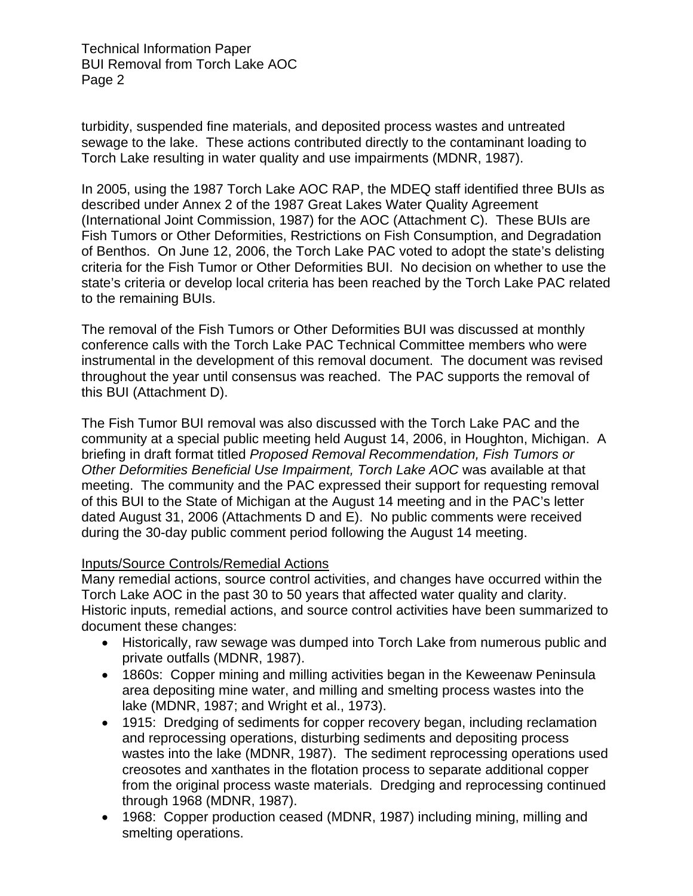turbidity, suspended fine materials, and deposited process wastes and untreated sewage to the lake. These actions contributed directly to the contaminant loading to Torch Lake resulting in water quality and use impairments (MDNR, 1987).

In 2005, using the 1987 Torch Lake AOC RAP, the MDEQ staff identified three BUIs as described under Annex 2 of the 1987 Great Lakes Water Quality Agreement (International Joint Commission, 1987) for the AOC (Attachment C). These BUIs are Fish Tumors or Other Deformities, Restrictions on Fish Consumption, and Degradation of Benthos. On June 12, 2006, the Torch Lake PAC voted to adopt the state's delisting criteria for the Fish Tumor or Other Deformities BUI. No decision on whether to use the state's criteria or develop local criteria has been reached by the Torch Lake PAC related to the remaining BUIs.

The removal of the Fish Tumors or Other Deformities BUI was discussed at monthly conference calls with the Torch Lake PAC Technical Committee members who were instrumental in the development of this removal document. The document was revised throughout the year until consensus was reached. The PAC supports the removal of this BUI (Attachment D).

The Fish Tumor BUI removal was also discussed with the Torch Lake PAC and the community at a special public meeting held August 14, 2006, in Houghton, Michigan. A briefing in draft format titled *Proposed Removal Recommendation, Fish Tumors or Other Deformities Beneficial Use Impairment, Torch Lake AOC* was available at that meeting. The community and the PAC expressed their support for requesting removal of this BUI to the State of Michigan at the August 14 meeting and in the PAC's letter dated August 31, 2006 (Attachments D and E). No public comments were received during the 30-day public comment period following the August 14 meeting.

# Inputs/Source Controls/Remedial Actions

Many remedial actions, source control activities, and changes have occurred within the Torch Lake AOC in the past 30 to 50 years that affected water quality and clarity. Historic inputs, remedial actions, and source control activities have been summarized to document these changes:

- Historically, raw sewage was dumped into Torch Lake from numerous public and private outfalls (MDNR, 1987).
- 1860s: Copper mining and milling activities began in the Keweenaw Peninsula area depositing mine water, and milling and smelting process wastes into the lake (MDNR, 1987; and Wright et al., 1973).
- 1915: Dredging of sediments for copper recovery began, including reclamation and reprocessing operations, disturbing sediments and depositing process wastes into the lake (MDNR, 1987). The sediment reprocessing operations used creosotes and xanthates in the flotation process to separate additional copper from the original process waste materials. Dredging and reprocessing continued through 1968 (MDNR, 1987).
- 1968: Copper production ceased (MDNR, 1987) including mining, milling and smelting operations.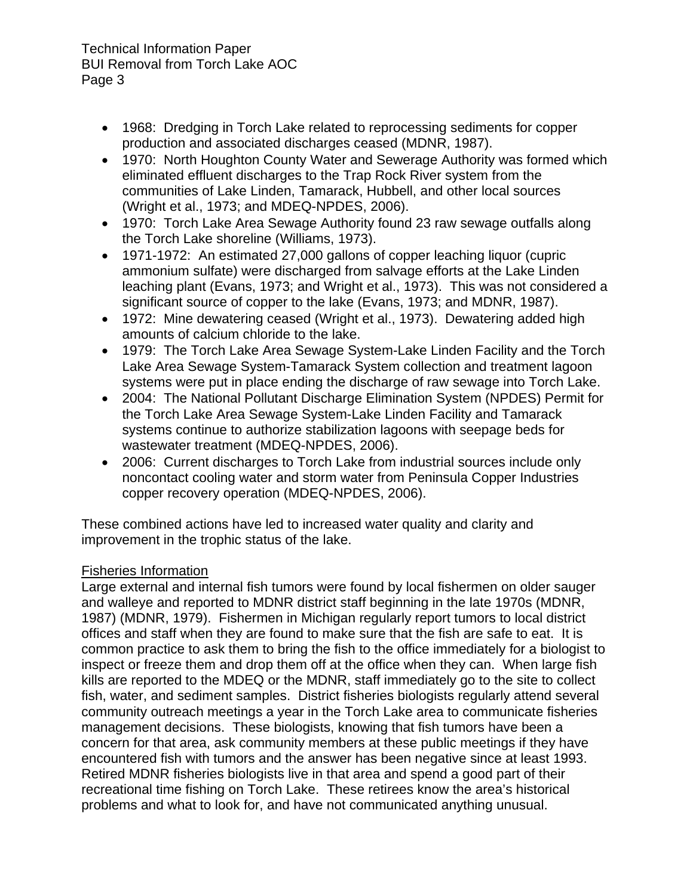- 1968: Dredging in Torch Lake related to reprocessing sediments for copper production and associated discharges ceased (MDNR, 1987).
- 1970: North Houghton County Water and Sewerage Authority was formed which eliminated effluent discharges to the Trap Rock River system from the communities of Lake Linden, Tamarack, Hubbell, and other local sources (Wright et al., 1973; and MDEQ-NPDES, 2006).
- 1970: Torch Lake Area Sewage Authority found 23 raw sewage outfalls along the Torch Lake shoreline (Williams, 1973).
- 1971-1972: An estimated 27,000 gallons of copper leaching liquor (cupric ammonium sulfate) were discharged from salvage efforts at the Lake Linden leaching plant (Evans, 1973; and Wright et al., 1973). This was not considered a significant source of copper to the lake (Evans, 1973; and MDNR, 1987).
- 1972: Mine dewatering ceased (Wright et al., 1973). Dewatering added high amounts of calcium chloride to the lake.
- 1979: The Torch Lake Area Sewage System-Lake Linden Facility and the Torch Lake Area Sewage System-Tamarack System collection and treatment lagoon systems were put in place ending the discharge of raw sewage into Torch Lake.
- 2004: The National Pollutant Discharge Elimination System (NPDES) Permit for the Torch Lake Area Sewage System-Lake Linden Facility and Tamarack systems continue to authorize stabilization lagoons with seepage beds for wastewater treatment (MDEQ-NPDES, 2006).
- 2006: Current discharges to Torch Lake from industrial sources include only noncontact cooling water and storm water from Peninsula Copper Industries copper recovery operation (MDEQ-NPDES, 2006).

These combined actions have led to increased water quality and clarity and improvement in the trophic status of the lake.

# Fisheries Information

Large external and internal fish tumors were found by local fishermen on older sauger and walleye and reported to MDNR district staff beginning in the late 1970s (MDNR, 1987) (MDNR, 1979). Fishermen in Michigan regularly report tumors to local district offices and staff when they are found to make sure that the fish are safe to eat. It is common practice to ask them to bring the fish to the office immediately for a biologist to inspect or freeze them and drop them off at the office when they can. When large fish kills are reported to the MDEQ or the MDNR, staff immediately go to the site to collect fish, water, and sediment samples. District fisheries biologists regularly attend several community outreach meetings a year in the Torch Lake area to communicate fisheries management decisions. These biologists, knowing that fish tumors have been a concern for that area, ask community members at these public meetings if they have encountered fish with tumors and the answer has been negative since at least 1993. Retired MDNR fisheries biologists live in that area and spend a good part of their recreational time fishing on Torch Lake. These retirees know the area's historical problems and what to look for, and have not communicated anything unusual.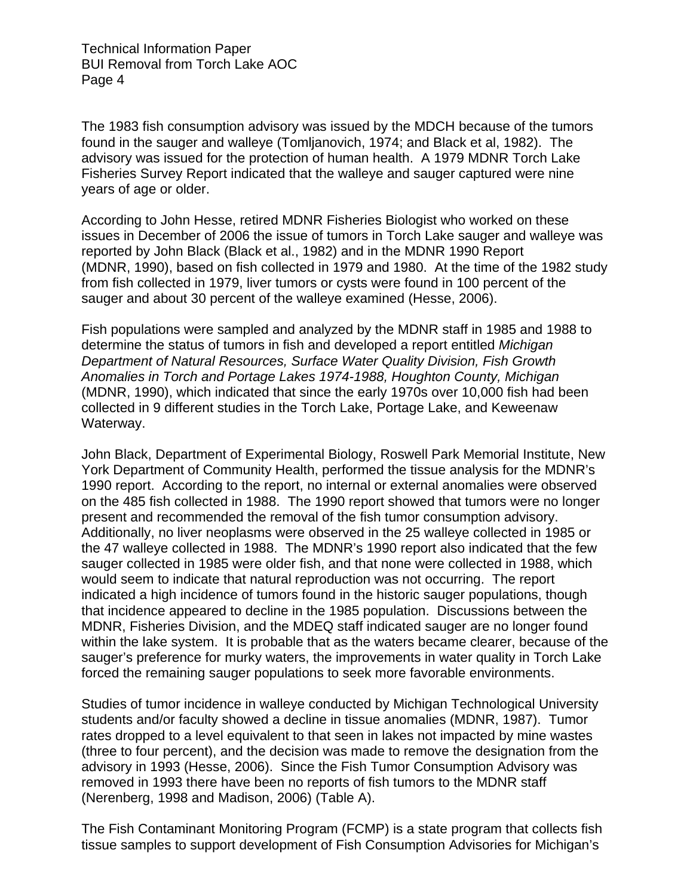The 1983 fish consumption advisory was issued by the MDCH because of the tumors found in the sauger and walleye (Tomljanovich, 1974; and Black et al, 1982). The advisory was issued for the protection of human health. A 1979 MDNR Torch Lake Fisheries Survey Report indicated that the walleye and sauger captured were nine years of age or older.

According to John Hesse, retired MDNR Fisheries Biologist who worked on these issues in December of 2006 the issue of tumors in Torch Lake sauger and walleye was reported by John Black (Black et al., 1982) and in the MDNR 1990 Report (MDNR, 1990), based on fish collected in 1979 and 1980. At the time of the 1982 study from fish collected in 1979, liver tumors or cysts were found in 100 percent of the sauger and about 30 percent of the walleye examined (Hesse, 2006).

Fish populations were sampled and analyzed by the MDNR staff in 1985 and 1988 to determine the status of tumors in fish and developed a report entitled *Michigan Department of Natural Resources, Surface Water Quality Division, Fish Growth Anomalies in Torch and Portage Lakes 1974-1988, Houghton County, Michigan*  (MDNR, 1990), which indicated that since the early 1970s over 10,000 fish had been collected in 9 different studies in the Torch Lake, Portage Lake, and Keweenaw Waterway.

John Black, Department of Experimental Biology, Roswell Park Memorial Institute, New York Department of Community Health, performed the tissue analysis for the MDNR's 1990 report. According to the report, no internal or external anomalies were observed on the 485 fish collected in 1988. The 1990 report showed that tumors were no longer present and recommended the removal of the fish tumor consumption advisory. Additionally, no liver neoplasms were observed in the 25 walleye collected in 1985 or the 47 walleye collected in 1988. The MDNR's 1990 report also indicated that the few sauger collected in 1985 were older fish, and that none were collected in 1988, which would seem to indicate that natural reproduction was not occurring. The report indicated a high incidence of tumors found in the historic sauger populations, though that incidence appeared to decline in the 1985 population. Discussions between the MDNR, Fisheries Division, and the MDEQ staff indicated sauger are no longer found within the lake system. It is probable that as the waters became clearer, because of the sauger's preference for murky waters, the improvements in water quality in Torch Lake forced the remaining sauger populations to seek more favorable environments.

Studies of tumor incidence in walleye conducted by Michigan Technological University students and/or faculty showed a decline in tissue anomalies (MDNR, 1987). Tumor rates dropped to a level equivalent to that seen in lakes not impacted by mine wastes (three to four percent), and the decision was made to remove the designation from the advisory in 1993 (Hesse, 2006). Since the Fish Tumor Consumption Advisory was removed in 1993 there have been no reports of fish tumors to the MDNR staff (Nerenberg, 1998 and Madison, 2006) (Table A).

The Fish Contaminant Monitoring Program (FCMP) is a state program that collects fish tissue samples to support development of Fish Consumption Advisories for Michigan's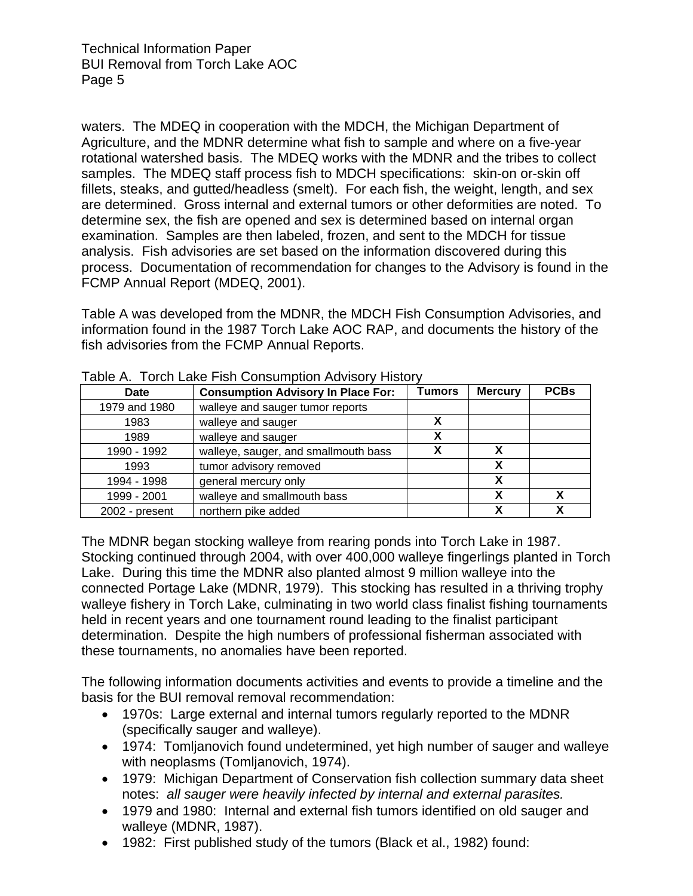waters. The MDEQ in cooperation with the MDCH, the Michigan Department of Agriculture, and the MDNR determine what fish to sample and where on a five-year rotational watershed basis. The MDEQ works with the MDNR and the tribes to collect samples. The MDEQ staff process fish to MDCH specifications: skin-on or-skin off fillets, steaks, and gutted/headless (smelt). For each fish, the weight, length, and sex are determined. Gross internal and external tumors or other deformities are noted. To determine sex, the fish are opened and sex is determined based on internal organ examination. Samples are then labeled, frozen, and sent to the MDCH for tissue analysis. Fish advisories are set based on the information discovered during this process. Documentation of recommendation for changes to the Advisory is found in the FCMP Annual Report (MDEQ, 2001).

Table A was developed from the MDNR, the MDCH Fish Consumption Advisories, and information found in the 1987 Torch Lake AOC RAP, and documents the history of the fish advisories from the FCMP Annual Reports.

| Date           | <b>Consumption Advisory In Place For:</b> | Tumors | <b>Mercury</b> | <b>PCBs</b> |
|----------------|-------------------------------------------|--------|----------------|-------------|
| 1979 and 1980  | walleye and sauger tumor reports          |        |                |             |
| 1983           | walleye and sauger                        | χ      |                |             |
| 1989           | walleye and sauger                        | χ      |                |             |
| 1990 - 1992    | walleye, sauger, and smallmouth bass      | х      |                |             |
| 1993           | tumor advisory removed                    |        | х              |             |
| 1994 - 1998    | general mercury only                      |        |                |             |
| 1999 - 2001    | walleye and smallmouth bass               |        |                |             |
| 2002 - present | northern pike added                       |        |                |             |

The MDNR began stocking walleye from rearing ponds into Torch Lake in 1987. Stocking continued through 2004, with over 400,000 walleye fingerlings planted in Torch Lake. During this time the MDNR also planted almost 9 million walleye into the connected Portage Lake (MDNR, 1979). This stocking has resulted in a thriving trophy walleye fishery in Torch Lake, culminating in two world class finalist fishing tournaments held in recent years and one tournament round leading to the finalist participant determination. Despite the high numbers of professional fisherman associated with these tournaments, no anomalies have been reported.

The following information documents activities and events to provide a timeline and the basis for the BUI removal removal recommendation:

- 1970s: Large external and internal tumors regularly reported to the MDNR (specifically sauger and walleye).
- 1974: Tomljanovich found undetermined, yet high number of sauger and walleye with neoplasms (Tomljanovich, 1974).
- 1979: Michigan Department of Conservation fish collection summary data sheet notes: *all sauger were heavily infected by internal and external parasites.*
- 1979 and 1980: Internal and external fish tumors identified on old sauger and walleye (MDNR, 1987).
- 1982: First published study of the tumors (Black et al., 1982) found: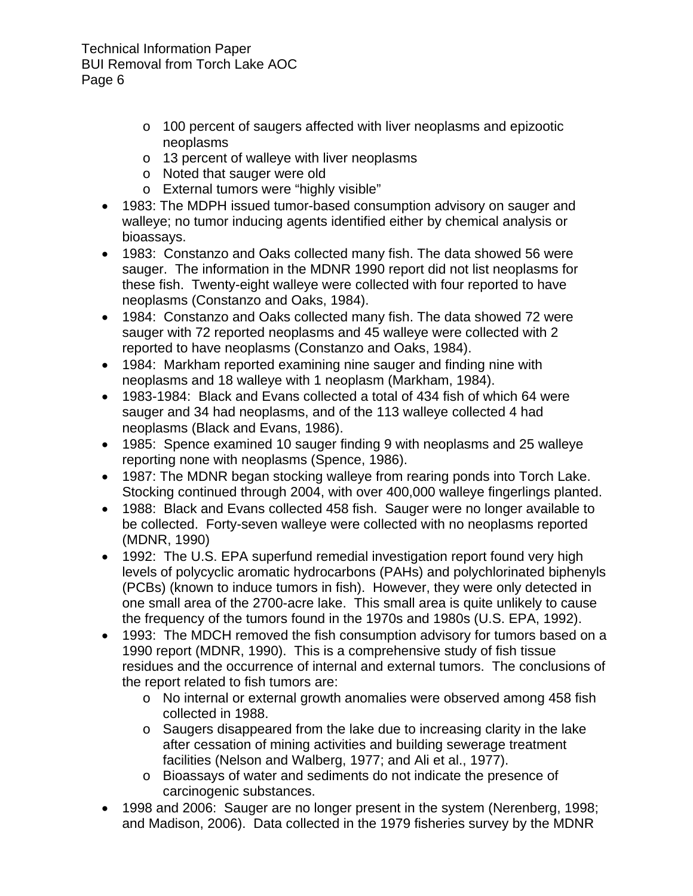- o 100 percent of saugers affected with liver neoplasms and epizootic neoplasms
- o 13 percent of walleye with liver neoplasms
- o Noted that sauger were old
- o External tumors were "highly visible"
- 1983: The MDPH issued tumor-based consumption advisory on sauger and walleye; no tumor inducing agents identified either by chemical analysis or bioassays.
- 1983: Constanzo and Oaks collected many fish. The data showed 56 were sauger. The information in the MDNR 1990 report did not list neoplasms for these fish. Twenty-eight walleye were collected with four reported to have neoplasms (Constanzo and Oaks, 1984).
- 1984: Constanzo and Oaks collected many fish. The data showed 72 were sauger with 72 reported neoplasms and 45 walleye were collected with 2 reported to have neoplasms (Constanzo and Oaks, 1984).
- 1984: Markham reported examining nine sauger and finding nine with neoplasms and 18 walleye with 1 neoplasm (Markham, 1984).
- 1983-1984: Black and Evans collected a total of 434 fish of which 64 were sauger and 34 had neoplasms, and of the 113 walleye collected 4 had neoplasms (Black and Evans, 1986).
- 1985: Spence examined 10 sauger finding 9 with neoplasms and 25 walleye reporting none with neoplasms (Spence, 1986).
- 1987: The MDNR began stocking walleye from rearing ponds into Torch Lake. Stocking continued through 2004, with over 400,000 walleye fingerlings planted.
- 1988: Black and Evans collected 458 fish. Sauger were no longer available to be collected. Forty-seven walleye were collected with no neoplasms reported (MDNR, 1990)
- 1992: The U.S. EPA superfund remedial investigation report found very high levels of polycyclic aromatic hydrocarbons (PAHs) and polychlorinated biphenyls (PCBs) (known to induce tumors in fish). However, they were only detected in one small area of the 2700-acre lake. This small area is quite unlikely to cause the frequency of the tumors found in the 1970s and 1980s (U.S. EPA, 1992).
- 1993: The MDCH removed the fish consumption advisory for tumors based on a 1990 report (MDNR, 1990). This is a comprehensive study of fish tissue residues and the occurrence of internal and external tumors. The conclusions of the report related to fish tumors are:
	- o No internal or external growth anomalies were observed among 458 fish collected in 1988.
	- o Saugers disappeared from the lake due to increasing clarity in the lake after cessation of mining activities and building sewerage treatment facilities (Nelson and Walberg, 1977; and Ali et al., 1977).
	- o Bioassays of water and sediments do not indicate the presence of carcinogenic substances.
- 1998 and 2006: Sauger are no longer present in the system (Nerenberg, 1998; and Madison, 2006). Data collected in the 1979 fisheries survey by the MDNR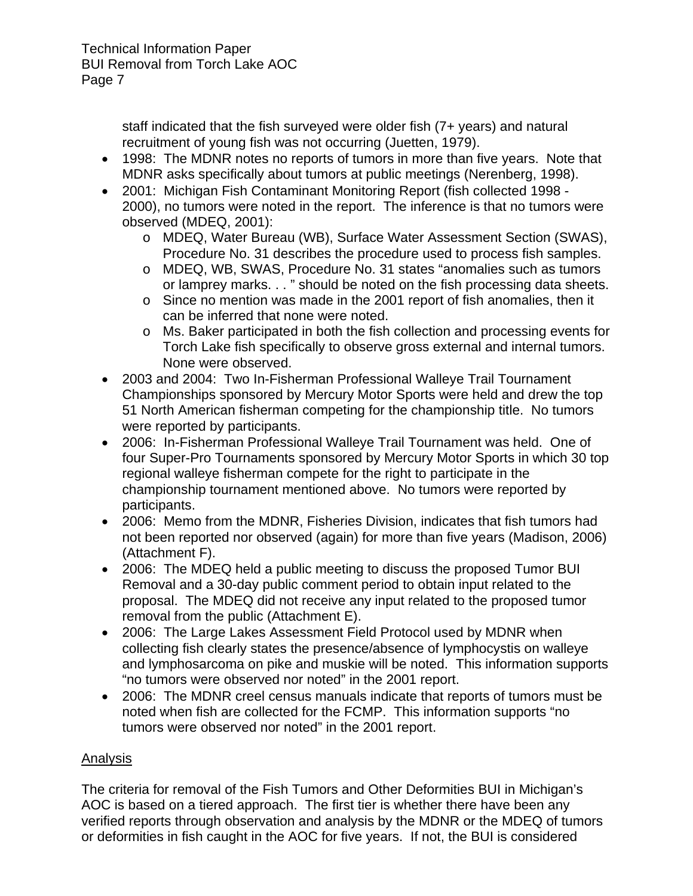staff indicated that the fish surveyed were older fish (7+ years) and natural recruitment of young fish was not occurring (Juetten, 1979).

- 1998: The MDNR notes no reports of tumors in more than five years. Note that MDNR asks specifically about tumors at public meetings (Nerenberg, 1998).
- 2001: Michigan Fish Contaminant Monitoring Report (fish collected 1998 2000), no tumors were noted in the report. The inference is that no tumors were observed (MDEQ, 2001):
	- o MDEQ, Water Bureau (WB), Surface Water Assessment Section (SWAS), Procedure No. 31 describes the procedure used to process fish samples.
	- o MDEQ, WB, SWAS, Procedure No. 31 states "anomalies such as tumors or lamprey marks. . . " should be noted on the fish processing data sheets.
	- o Since no mention was made in the 2001 report of fish anomalies, then it can be inferred that none were noted.
	- o Ms. Baker participated in both the fish collection and processing events for Torch Lake fish specifically to observe gross external and internal tumors. None were observed.
- 2003 and 2004: Two In-Fisherman Professional Walleye Trail Tournament Championships sponsored by Mercury Motor Sports were held and drew the top 51 North American fisherman competing for the championship title. No tumors were reported by participants.
- 2006: In-Fisherman Professional Walleye Trail Tournament was held. One of four Super-Pro Tournaments sponsored by Mercury Motor Sports in which 30 top regional walleye fisherman compete for the right to participate in the championship tournament mentioned above. No tumors were reported by participants.
- 2006: Memo from the MDNR, Fisheries Division, indicates that fish tumors had not been reported nor observed (again) for more than five years (Madison, 2006) (Attachment F).
- 2006: The MDEQ held a public meeting to discuss the proposed Tumor BUI Removal and a 30-day public comment period to obtain input related to the proposal. The MDEQ did not receive any input related to the proposed tumor removal from the public (Attachment E).
- 2006: The Large Lakes Assessment Field Protocol used by MDNR when collecting fish clearly states the presence/absence of lymphocystis on walleye and lymphosarcoma on pike and muskie will be noted. This information supports "no tumors were observed nor noted" in the 2001 report.
- 2006: The MDNR creel census manuals indicate that reports of tumors must be noted when fish are collected for the FCMP. This information supports "no tumors were observed nor noted" in the 2001 report.

# Analysis

The criteria for removal of the Fish Tumors and Other Deformities BUI in Michigan's AOC is based on a tiered approach. The first tier is whether there have been any verified reports through observation and analysis by the MDNR or the MDEQ of tumors or deformities in fish caught in the AOC for five years. If not, the BUI is considered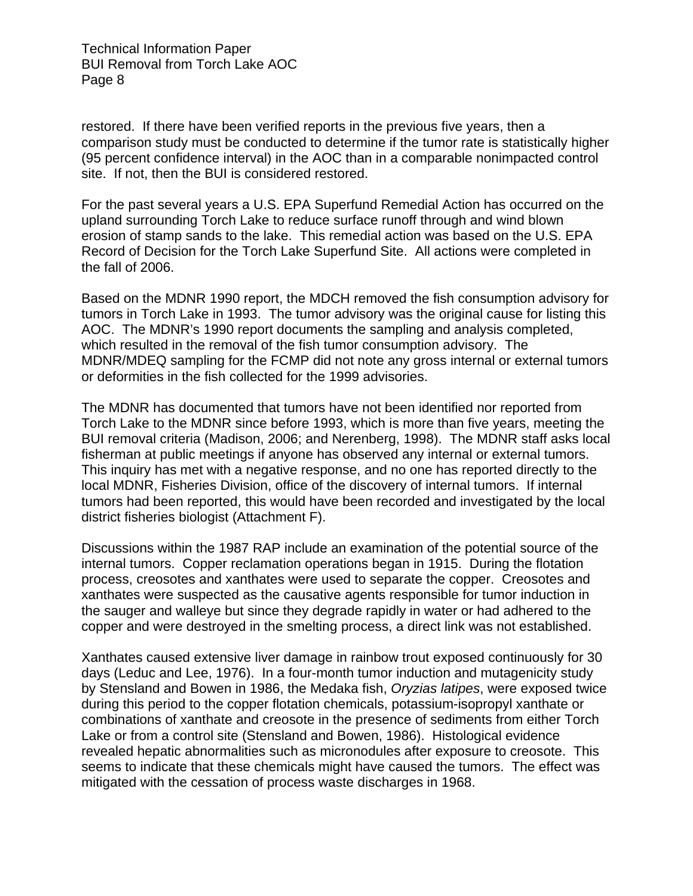restored. If there have been verified reports in the previous five years, then a comparison study must be conducted to determine if the tumor rate is statistically higher (95 percent confidence interval) in the AOC than in a comparable nonimpacted control site. If not, then the BUI is considered restored.

For the past several years a U.S. EPA Superfund Remedial Action has occurred on the upland surrounding Torch Lake to reduce surface runoff through and wind blown erosion of stamp sands to the lake. This remedial action was based on the U.S. EPA Record of Decision for the Torch Lake Superfund Site. All actions were completed in the fall of 2006.

Based on the MDNR 1990 report, the MDCH removed the fish consumption advisory for tumors in Torch Lake in 1993. The tumor advisory was the original cause for listing this AOC. The MDNR's 1990 report documents the sampling and analysis completed, which resulted in the removal of the fish tumor consumption advisory. The MDNR/MDEQ sampling for the FCMP did not note any gross internal or external tumors or deformities in the fish collected for the 1999 advisories.

The MDNR has documented that tumors have not been identified nor reported from Torch Lake to the MDNR since before 1993, which is more than five years, meeting the BUI removal criteria (Madison, 2006; and Nerenberg, 1998). The MDNR staff asks local fisherman at public meetings if anyone has observed any internal or external tumors. This inquiry has met with a negative response, and no one has reported directly to the local MDNR, Fisheries Division, office of the discovery of internal tumors. If internal tumors had been reported, this would have been recorded and investigated by the local district fisheries biologist (Attachment F).

Discussions within the 1987 RAP include an examination of the potential source of the internal tumors. Copper reclamation operations began in 1915. During the flotation process, creosotes and xanthates were used to separate the copper. Creosotes and xanthates were suspected as the causative agents responsible for tumor induction in the sauger and walleye but since they degrade rapidly in water or had adhered to the copper and were destroyed in the smelting process, a direct link was not established.

Xanthates caused extensive liver damage in rainbow trout exposed continuously for 30 days (Leduc and Lee, 1976). In a four-month tumor induction and mutagenicity study by Stensland and Bowen in 1986, the Medaka fish, *Oryzias latipes*, were exposed twice during this period to the copper flotation chemicals, potassium-isopropyl xanthate or combinations of xanthate and creosote in the presence of sediments from either Torch Lake or from a control site (Stensland and Bowen, 1986). Histological evidence revealed hepatic abnormalities such as micronodules after exposure to creosote. This seems to indicate that these chemicals might have caused the tumors. The effect was mitigated with the cessation of process waste discharges in 1968.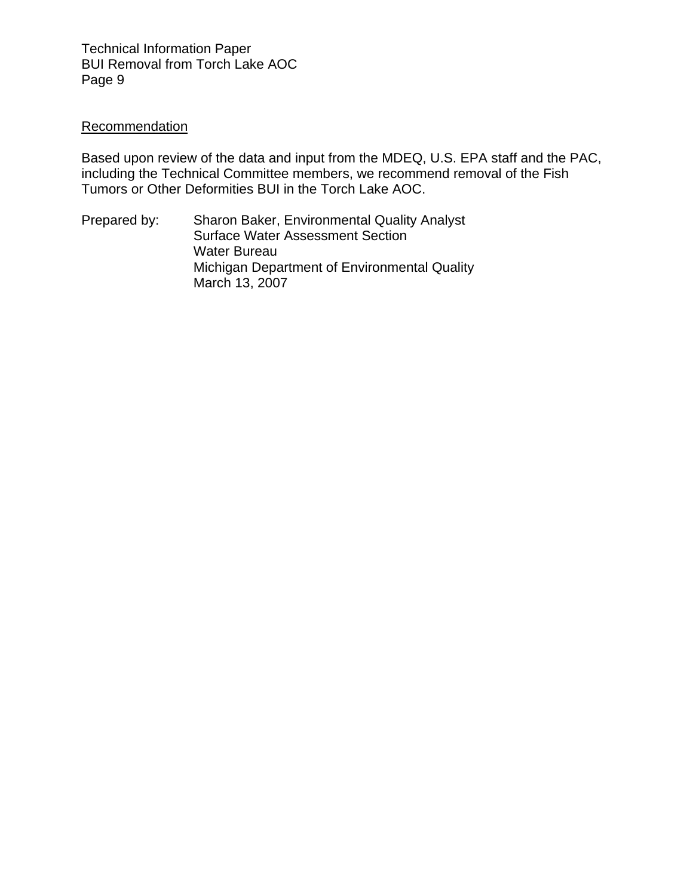# **Recommendation**

Based upon review of the data and input from the MDEQ, U.S. EPA staff and the PAC, including the Technical Committee members, we recommend removal of the Fish Tumors or Other Deformities BUI in the Torch Lake AOC.

Prepared by: Sharon Baker, Environmental Quality Analyst Surface Water Assessment Section Water Bureau Michigan Department of Environmental Quality March 13, 2007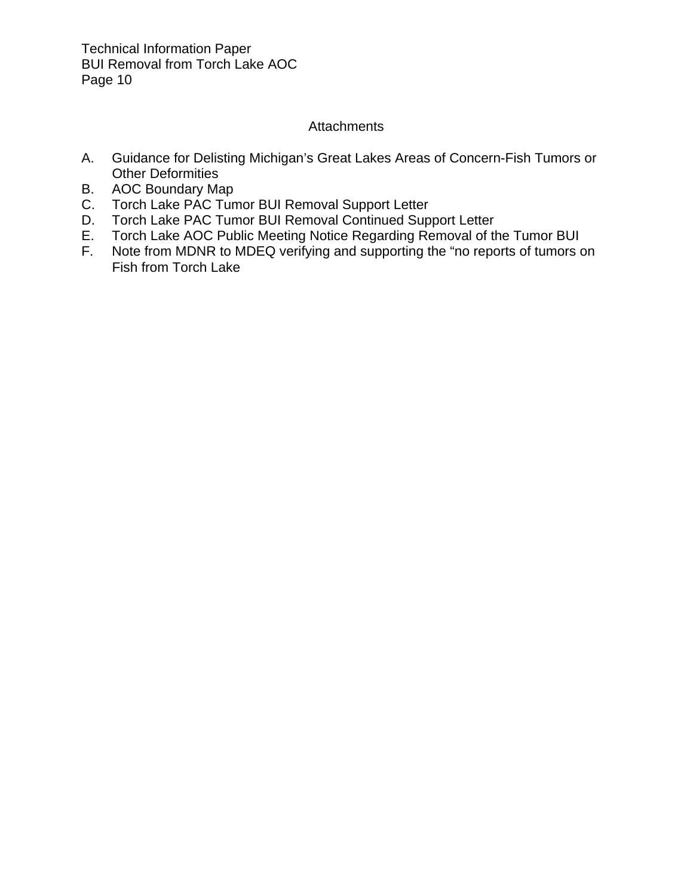# **Attachments**

- A. Guidance for Delisting Michigan's Great Lakes Areas of Concern-Fish Tumors or Other Deformities
- B. AOC Boundary Map
- C. Torch Lake PAC Tumor BUI Removal Support Letter
- D. Torch Lake PAC Tumor BUI Removal Continued Support Letter
- E. Torch Lake AOC Public Meeting Notice Regarding Removal of the Tumor BUI
- F. Note from MDNR to MDEQ verifying and supporting the "no reports of tumors on Fish from Torch Lake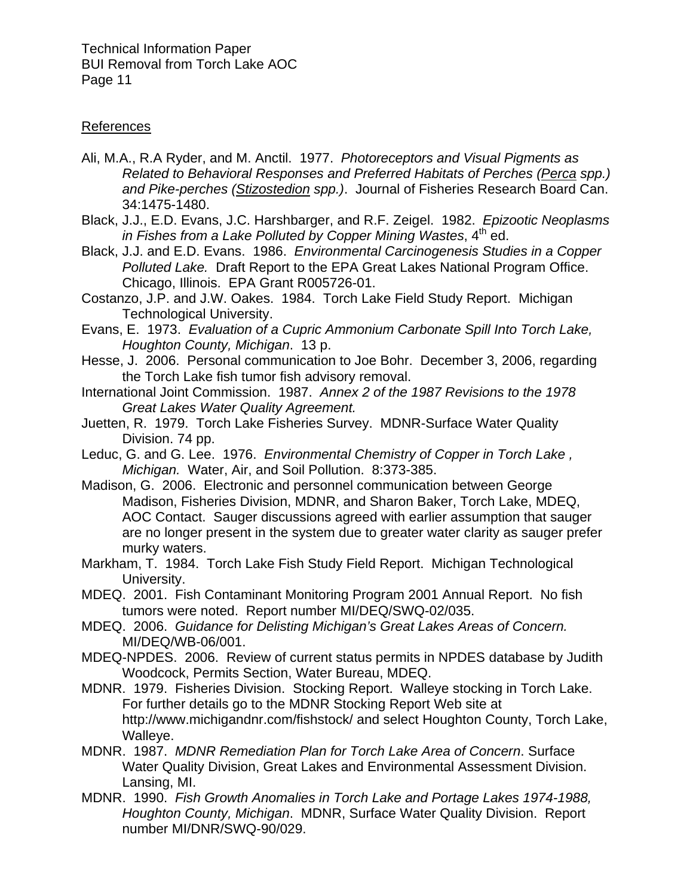# References

- Ali, M.A., R.A Ryder, and M. Anctil. 1977. *Photoreceptors and Visual Pigments as Related to Behavioral Responses and Preferred Habitats of Perches (Perca spp.) and Pike-perches (Stizostedion spp.)*. Journal of Fisheries Research Board Can. 34:1475-1480.
- Black, J.J., E.D. Evans, J.C. Harshbarger, and R.F. Zeigel. 1982. *Epizootic Neoplasms in Fishes from a Lake Polluted by Copper Mining Wastes,* 4<sup>th</sup> ed.
- Black, J.J. and E.D. Evans. 1986. *Environmental Carcinogenesis Studies in a Copper Polluted Lake.* Draft Report to the EPA Great Lakes National Program Office. Chicago, Illinois. EPA Grant R005726-01.
- Costanzo, J.P. and J.W. Oakes. 1984. Torch Lake Field Study Report. Michigan Technological University.
- Evans, E. 1973. *Evaluation of a Cupric Ammonium Carbonate Spill Into Torch Lake, Houghton County, Michigan*. 13 p.
- Hesse, J. 2006. Personal communication to Joe Bohr. December 3, 2006, regarding the Torch Lake fish tumor fish advisory removal.
- International Joint Commission. 1987. *Annex 2 of the 1987 Revisions to the 1978 Great Lakes Water Quality Agreement.*
- Juetten, R. 1979. Torch Lake Fisheries Survey. MDNR-Surface Water Quality Division. 74 pp.
- Leduc, G. and G. Lee. 1976. *Environmental Chemistry of Copper in Torch Lake , Michigan.* Water, Air, and Soil Pollution. 8:373-385.
- Madison, G. 2006. Electronic and personnel communication between George Madison, Fisheries Division, MDNR, and Sharon Baker, Torch Lake, MDEQ, AOC Contact. Sauger discussions agreed with earlier assumption that sauger are no longer present in the system due to greater water clarity as sauger prefer murky waters.
- Markham, T. 1984. Torch Lake Fish Study Field Report. Michigan Technological University.
- MDEQ. 2001. Fish Contaminant Monitoring Program 2001 Annual Report. No fish tumors were noted. Report number MI/DEQ/SWQ-02/035.
- MDEQ. 2006. *Guidance for Delisting Michigan's Great Lakes Areas of Concern.*  MI/DEQ/WB-06/001.
- MDEQ-NPDES. 2006. Review of current status permits in NPDES database by Judith Woodcock, Permits Section, Water Bureau, MDEQ.
- MDNR. 1979. Fisheries Division. Stocking Report. Walleye stocking in Torch Lake. For further details go to the MDNR Stocking Report Web site at http://www.michigandnr.com/fishstock/ and select Houghton County, Torch Lake, Walleye.
- MDNR. 1987. *MDNR Remediation Plan for Torch Lake Area of Concern*. Surface Water Quality Division, Great Lakes and Environmental Assessment Division. Lansing, MI.
- MDNR. 1990. *Fish Growth Anomalies in Torch Lake and Portage Lakes 1974-1988, Houghton County, Michigan*. MDNR, Surface Water Quality Division. Report number MI/DNR/SWQ-90/029.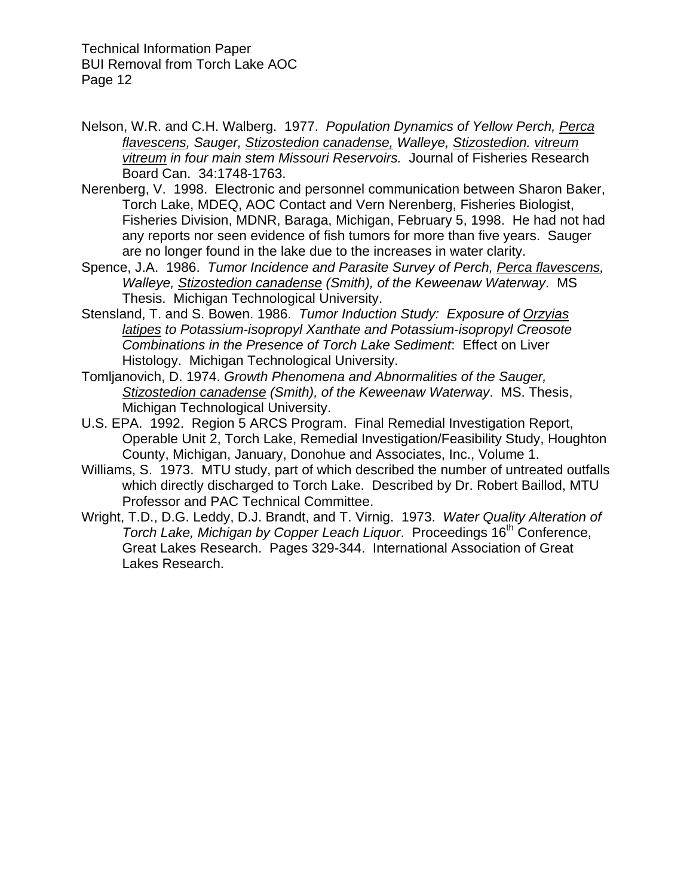- Nelson, W.R. and C.H. Walberg. 1977. *Population Dynamics of Yellow Perch, Perca flavescens, Sauger, Stizostedion canadense, Walleye, Stizostedion. vitreum vitreum in four main stem Missouri Reservoirs.* Journal of Fisheries Research Board Can. 34:1748-1763.
- Nerenberg, V. 1998. Electronic and personnel communication between Sharon Baker, Torch Lake, MDEQ, AOC Contact and Vern Nerenberg, Fisheries Biologist, Fisheries Division, MDNR, Baraga, Michigan, February 5, 1998. He had not had any reports nor seen evidence of fish tumors for more than five years. Sauger are no longer found in the lake due to the increases in water clarity.
- Spence, J.A. 1986. *Tumor Incidence and Parasite Survey of Perch, Perca flavescens, Walleye, Stizostedion canadense (Smith), of the Keweenaw Waterway*. MS Thesis. Michigan Technological University.
- Stensland, T. and S. Bowen. 1986. *Tumor Induction Study: Exposure of Orzyias latipes to Potassium-isopropyl Xanthate and Potassium-isopropyl Creosote Combinations in the Presence of Torch Lake Sediment*: Effect on Liver Histology. Michigan Technological University.
- Tomljanovich, D. 1974. *Growth Phenomena and Abnormalities of the Sauger, Stizostedion canadense (Smith), of the Keweenaw Waterway*. MS. Thesis, Michigan Technological University.
- U.S. EPA. 1992. Region 5 ARCS Program. Final Remedial Investigation Report, Operable Unit 2, Torch Lake, Remedial Investigation/Feasibility Study, Houghton County, Michigan, January, Donohue and Associates, Inc., Volume 1.
- Williams, S. 1973. MTU study, part of which described the number of untreated outfalls which directly discharged to Torch Lake. Described by Dr. Robert Baillod, MTU Professor and PAC Technical Committee.
- Wright, T.D., D.G. Leddy, D.J. Brandt, and T. Virnig. 1973. *Water Quality Alteration of Torch Lake, Michigan by Copper Leach Liquor.* Proceedings 16<sup>th</sup> Conference, Great Lakes Research. Pages 329-344. International Association of Great Lakes Research.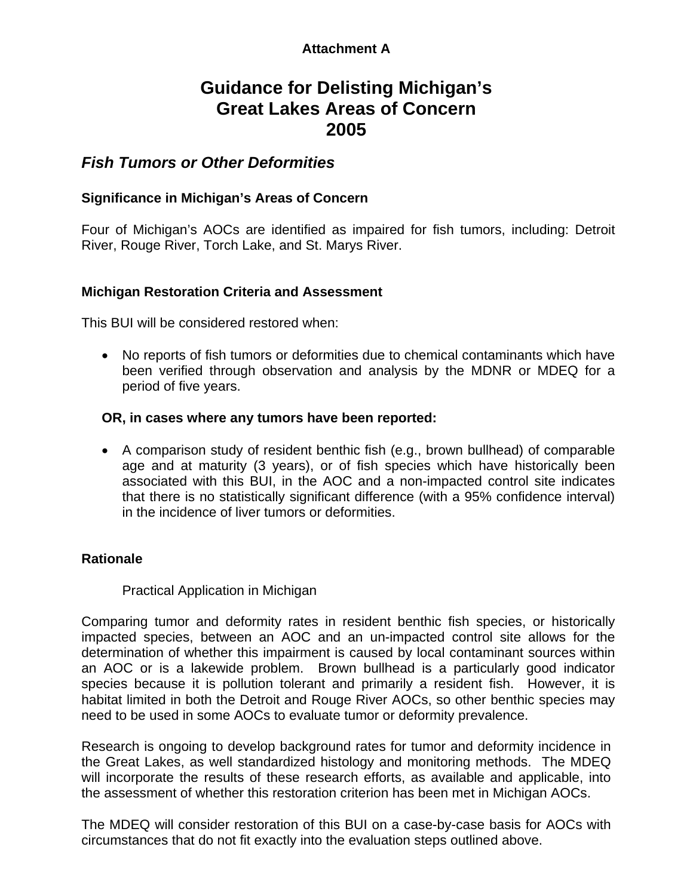# **Attachment A**

# **Guidance for Delisting Michigan's Great Lakes Areas of Concern 2005**

# *Fish Tumors or Other Deformities*

# **Significance in Michigan's Areas of Concern**

Four of Michigan's AOCs are identified as impaired for fish tumors, including: Detroit River, Rouge River, Torch Lake, and St. Marys River.

# **Michigan Restoration Criteria and Assessment**

This BUI will be considered restored when:

• No reports of fish tumors or deformities due to chemical contaminants which have been verified through observation and analysis by the MDNR or MDEQ for a period of five years.

## **OR, in cases where any tumors have been reported:**

• A comparison study of resident benthic fish (e.g., brown bullhead) of comparable age and at maturity (3 years), or of fish species which have historically been associated with this BUI, in the AOC and a non-impacted control site indicates that there is no statistically significant difference (with a 95% confidence interval) in the incidence of liver tumors or deformities.

# **Rationale**

Practical Application in Michigan

Comparing tumor and deformity rates in resident benthic fish species, or historically impacted species, between an AOC and an un-impacted control site allows for the determination of whether this impairment is caused by local contaminant sources within an AOC or is a lakewide problem. Brown bullhead is a particularly good indicator species because it is pollution tolerant and primarily a resident fish. However, it is habitat limited in both the Detroit and Rouge River AOCs, so other benthic species may need to be used in some AOCs to evaluate tumor or deformity prevalence.

Research is ongoing to develop background rates for tumor and deformity incidence in the Great Lakes, as well standardized histology and monitoring methods. The MDEQ will incorporate the results of these research efforts, as available and applicable, into the assessment of whether this restoration criterion has been met in Michigan AOCs.

The MDEQ will consider restoration of this BUI on a case-by-case basis for AOCs with circumstances that do not fit exactly into the evaluation steps outlined above.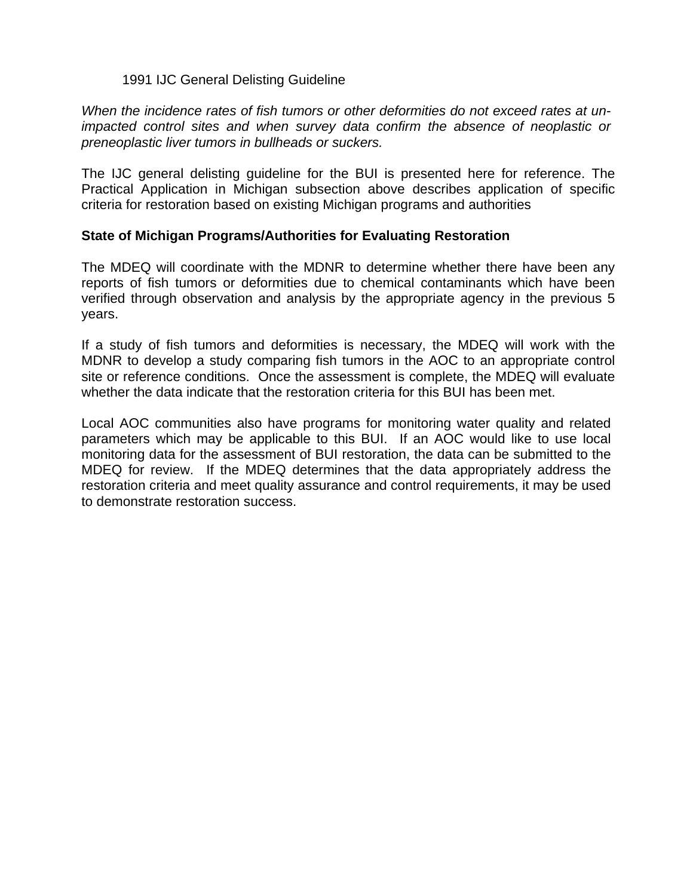## 1991 IJC General Delisting Guideline

*When the incidence rates of fish tumors or other deformities do not exceed rates at unimpacted control sites and when survey data confirm the absence of neoplastic or preneoplastic liver tumors in bullheads or suckers.* 

The IJC general delisting guideline for the BUI is presented here for reference. The Practical Application in Michigan subsection above describes application of specific criteria for restoration based on existing Michigan programs and authorities

## **State of Michigan Programs/Authorities for Evaluating Restoration**

The MDEQ will coordinate with the MDNR to determine whether there have been any reports of fish tumors or deformities due to chemical contaminants which have been verified through observation and analysis by the appropriate agency in the previous 5 years.

If a study of fish tumors and deformities is necessary, the MDEQ will work with the MDNR to develop a study comparing fish tumors in the AOC to an appropriate control site or reference conditions. Once the assessment is complete, the MDEQ will evaluate whether the data indicate that the restoration criteria for this BUI has been met.

Local AOC communities also have programs for monitoring water quality and related parameters which may be applicable to this BUI. If an AOC would like to use local monitoring data for the assessment of BUI restoration, the data can be submitted to the MDEQ for review. If the MDEQ determines that the data appropriately address the restoration criteria and meet quality assurance and control requirements, it may be used to demonstrate restoration success.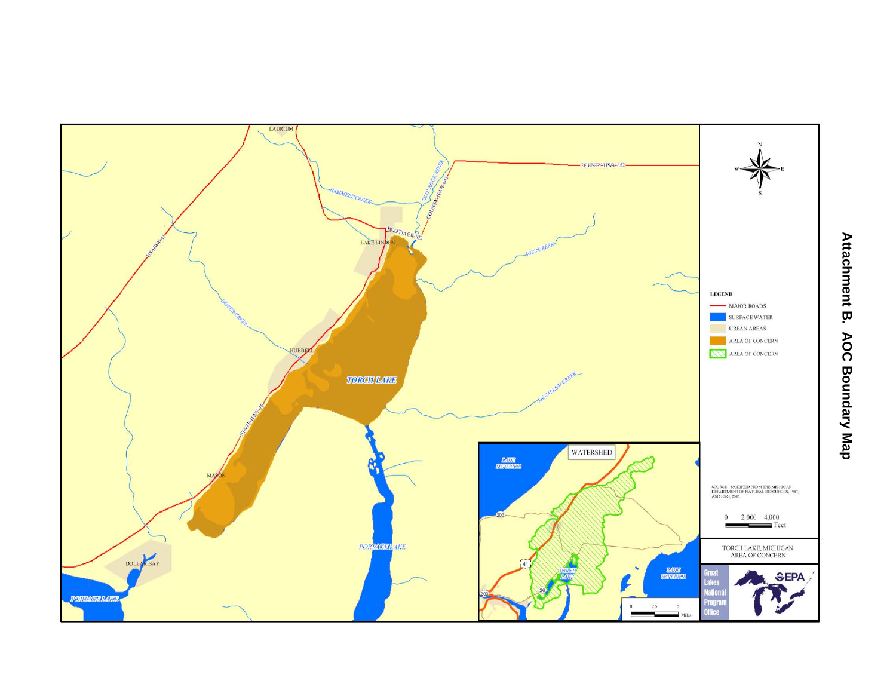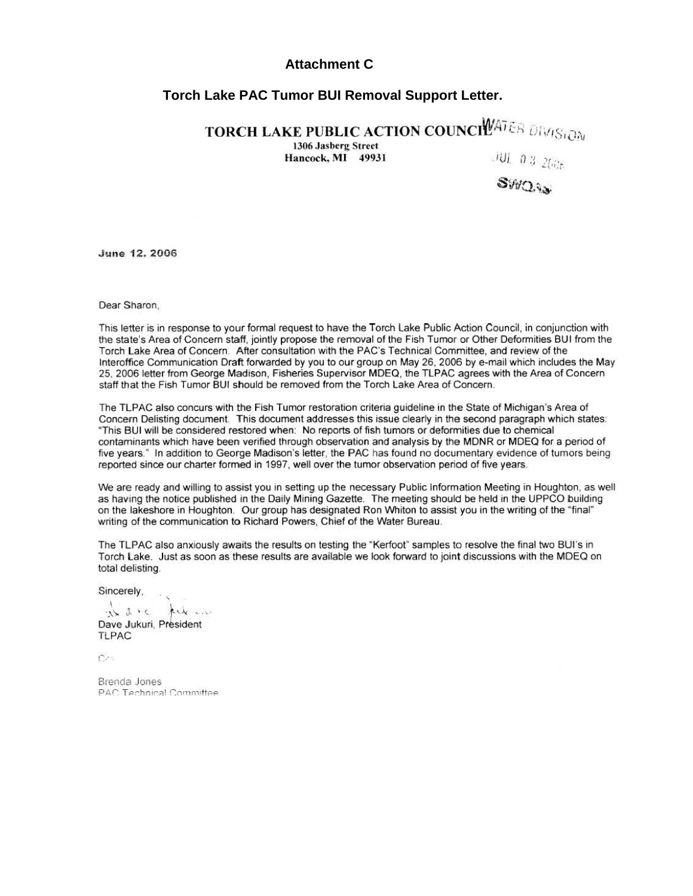#### **Attachment C**

#### **Torch Lake PAC Tumor BUI Removal Support Letter.**

TORCH LAKE PUBLIC ACTION COUNCIL ALLER DIM $_{\rm Si\bar{O}N}$ 

1306 Jasberg Street<br>Hancock, MI 49931

 $\frac{\partial U_t}{\partial s}$  .  $\frac{\partial S}{\partial s}$  .

June 12. 2006

Dear Sharon,

This letter is in response to your formal request to have the Torch Lake Public Action Council, in conjunction with the state's Area of Concern staff, jointly propose the removal of the Fish Tumor or Other Deformities BUI from the Torch l ake Area of Concern. After consultation with the PAC's Technical Committee, and review of the Interoffice Communication Draft forwarded by you to our group on May 26, 2006 by e-mail which includes the May 25, 2006 letter from George Madison, Fisheries Supervisor MDEQ, the TLPAC agrees with the Area of Concern staff that the Fish Tumor BUI should be removed from the Torch Lake Area of Concern.

The TLPAC also concurs with the Fish Tumor restoration criteria guideline in the State of Michigan's Area of Concern Delisting document. This document addresses this issue clearly in the second paragraph which states: "This BUI will be considered restored when: No reports of fish tumors or deformities due to chemical contaminants which have been verified through observation and analysis by the MDNR or MDEQ for a period of five years." In addition to George Madison's letter, the PAC has found no documentary evidence of tumors being reported since our charter formed in 1997, well over the tumor observation period of five years.

We are ready and willing to assist you in setting up the necessary Public Information Meeting in Houghton, as well as having the notice published in the Daily Mining Gazette. The meeting should be held in the UPPCO building on the lakeshore in Houghton. Our group has designated Ron Whiton to assist you in the writing of the "final" writing of the communication to Richard Powers, Chief of the Water Bureau.

The TLPAC also anxiously awaits the results on testing the "Kerfoot" samples to resolve the final two SUI's in Torch lake. Just as soon as these results are available we look forward to joint discussions with the MDEQ on total delisting

Sincerely,

is sic future

Dave Jukuri, President **TLPAC** 

 $Cr$ 

Brencla Jones PAC Technical Committee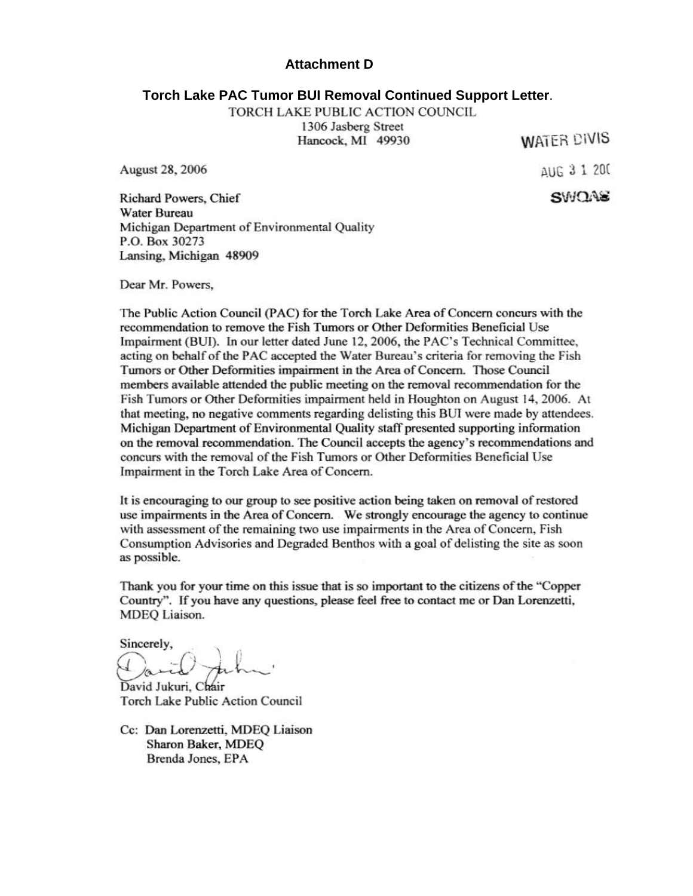#### **Attachment D**

#### **Torch Lake PAC Tumor BUI Removal Continued Support Letter**.

TORCH LAKE PUBLIC ACTION COUNCIL 1306 Jasberg Street

Hancock, Ml 49930

**WATER CIVIS** 

August 28, 2006

~UG 3 l 20(  $SMDAE$ 

Richard Powers, Chief Water Bureau Michigan Department of Environmental Quality P.O. Box 30273 Lansing, Michigan 48909

Dear Mr. Powers,

The Public Action Council (PAC) for the Torch Lake Area of Concern concurs with the recommendation to remove the Fish Tumors or Other Deformities Beneficial Use Impairment (SUI). In our letter dated June 12, 2006, the PAC's Technical Committee, acting on behalf of the PAC accepted the Water Bureau's criteria for removing the Fish Tumors or Other Deformities impairment in the Area of Concern. Those Council members available attended the public meeting on the removal recommendation for the Fish Tumors or Other Deformities impairment held in Houghton on August 14, 2006. At that meeting, no negative comments regarding delisting this BUI were made by attendees. Michigan Department of Environmental Quality staff presented supporting information on the removal recommendation. The Council accepts the agency's recommendations and concurs with the removal of the Fish Tumors or Other Deformities Beneficial Use Impairment in the Torch Lake Area of Concern.

It is encouraging to our group to see positive action being taken on removal of restored use impairments in the Area of Concern. We strongly encourage the agency to continue with assessment of the remaining two use impairments in the Area of Concern, Fish Consumption Advisories and Degraded Benthos with a goal of delisting the site as soon as possible.

Thank you for your time on this issue that is so important to the citizens of the "Copper Country". If you have any questions, please feel free to contact me or Dan Lorenzetti, MDEQ Liaison.

Sincerely,

David Jukuri, Chair Torch Lake Public Action Council

Cc: Dan Lorenzetti, MDEQ Liaison Sharon Baker, MDEQ Brenda Jones, EPA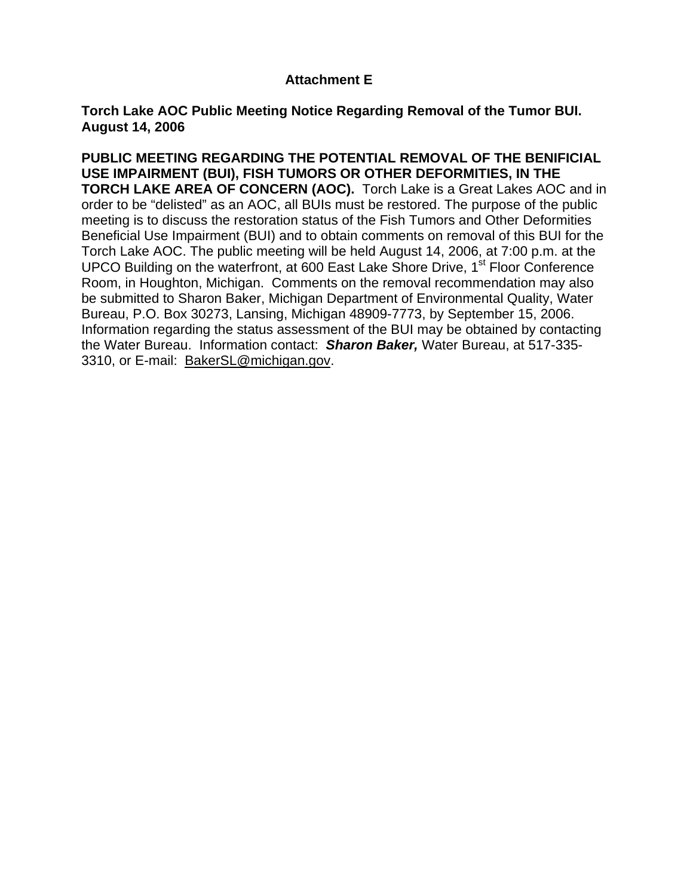# **Attachment E**

**Torch Lake AOC Public Meeting Notice Regarding Removal of the Tumor BUI. August 14, 2006** 

**PUBLIC MEETING REGARDING THE POTENTIAL REMOVAL OF THE BENIFICIAL USE IMPAIRMENT (BUI), FISH TUMORS OR OTHER DEFORMITIES, IN THE TORCH LAKE AREA OF CONCERN (AOC).** Torch Lake is a Great Lakes AOC and in order to be "delisted" as an AOC, all BUIs must be restored. The purpose of the public meeting is to discuss the restoration status of the Fish Tumors and Other Deformities Beneficial Use Impairment (BUI) and to obtain comments on removal of this BUI for the Torch Lake AOC. The public meeting will be held August 14, 2006, at 7:00 p.m. at the UPCO Building on the waterfront, at 600 East Lake Shore Drive,  $1<sup>st</sup>$  Floor Conference Room, in Houghton, Michigan. Comments on the removal recommendation may also be submitted to Sharon Baker, Michigan Department of Environmental Quality, Water Bureau, P.O. Box 30273, Lansing, Michigan 48909-7773, by September 15, 2006. Information regarding the status assessment of the BUI may be obtained by contacting the Water Bureau. Information contact: *Sharon Baker,* Water Bureau, at 517-335- 3310, or E-mail: [BakerSL@michigan.gov](mailto:BakerSL@michigan.gov).